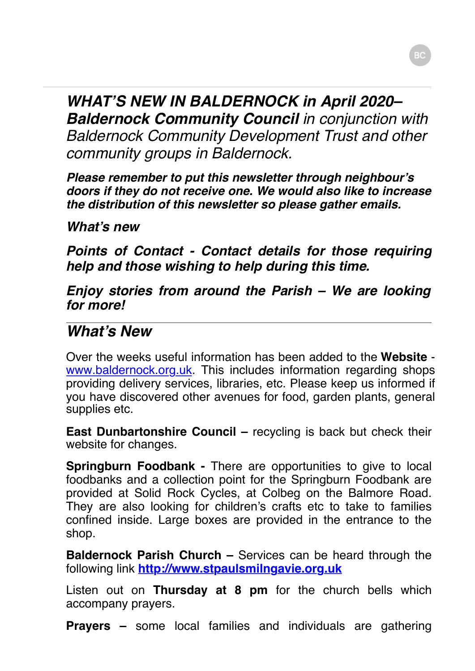*WHAT'S NEW IN BALDERNOCK in April 2020– Baldernock Community Council in conjunction with Baldernock Community Development Trust and other community groups in Baldernock.*

*Please remember to put this newsletter through neighbour's doors if they do not receive one. We would also like to increase the distribution of this newsletter so please gather emails.*

*What's new*

*Points of Contact - Contact details for those requiring help and those wishing to help during this time.*

*Enjoy* **s***tories from around the Parish – We are looking for more!*

## *What's New*

Over the weeks useful information has been added to the **Website** www.b[aldernock.org.uk. Th](http://www.baldernock.org.uk/)is includes information regarding shops providing delivery services, libraries, etc. Please keep us informed if you have discovered other avenues for food, garden plants, general supplies etc.

**East Dunbartonshire Council –** recycling is back but check their website for changes.

**Springburn Foodbank -** There are opportunities to give to local foodbanks and a collection point for the Springburn Foodbank are provided at Solid Rock Cycles, at Colbeg on the Balmore Road. They are also looking for children's crafts etc to take to families confined inside. Large boxes are provided in the entrance to the shop.

**Baldernock Parish Church –** Services can be heard through the following link **[http://www.stpaulsmilngavie.org.uk](http://www.stpaulsmilngavie.org.uk/)**

Listen out on **Thursday at 8 pm** for the church bells which accompany prayers.

**Prayers –** some local families and individuals are gathering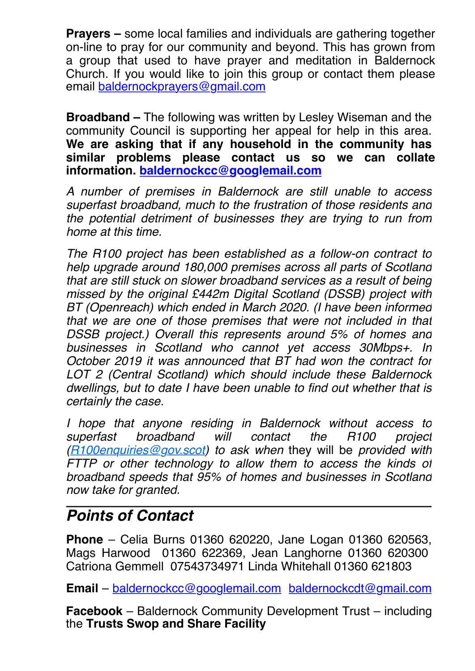**Prayers –** some local families and individuals are gathering together on-line to pray for our community and beyond. This has grown from a group that used to have prayer and meditation in Baldernock Church. If you would like to join this group or contact them please email baldernockp[rayers@gmail.com](mailto:baldernockprayers@gmail.com)

**Broadband –** The following was written by Lesley Wiseman and the community Council is supporting her appeal for help in this area. **We are asking that if any household in the community has similar problems please contact us so we can collate information. [baldernockcc@googlem](mailto:baldernockcc@googlemil.com)ail.com**

*A number of premises in Baldernock are still unable to access superfast broadband, much to the frustration of those residents and the potential detriment of businesses they are trying to run from home at this time.*

*The R100 project has been established as a follow-on contract to help upgrade around 180,000 premises across all parts of Scotland that are still stuck on slower broadband services as a result of being missed by the original £442m Digital Scotland (DSSB) project with BT (Openreach) which ended in March 2020. (I have been informed that we are one of those premises that were not included in that DSSB project.) Overall this represents around 5% of homes and businesses in Scotland who cannot yet access 30Mbps+. In October 2019 it was announced that BT had won the contract for LOT 2 (Central Scotland) which should include these Baldernock dwellings, but to date I have been unable to find out whether that is certainly the case.*

*I hope that anyone residing in Baldernock without access to superfast broadband will contact the R100 project ([R100enquiries@gov.scot\)](mailto:R100enquiries@gov.scot) to ask when* they will be *provided with FTTP or other technology to allow them to access the kinds of broadband speeds that 95% of homes and businesses in Scotland now take for granted.*

## *Points of Contact*

**Phone** – Celia Burns 01360 620220, Jane Logan 01360 620563, Mags Harwood 01360 622369, Jean Langhorne 01360 620300 Catriona Gemmell 07543734971 Linda Whitehall 01360 621803

**Email** – [baldernockcc@googlemail.com](mailto:baldernockcc@googlemail.com) [baldernockcdt@gmail.com](mailto:baldernockcdt@gmail.com)

**Facebook** – Baldernock Community Development Trust – including the **Trusts Swop and Share Facility**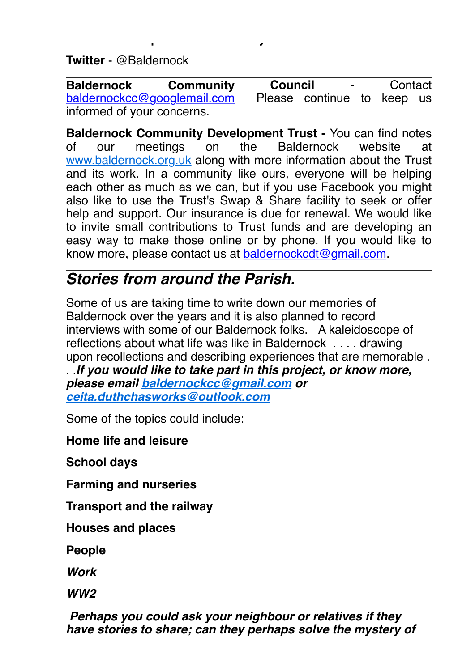**Twitter** - @Baldernock

the **Trusts Swop and Share Facility**

**Council** - Contact Please continue to keep us **Baldernock Community**  [baldernockcc@googlemail.com](mailto:baldernockcc@googlemail.com) informed of your concerns.

**Baldernock Community Development Trust -** You can find notes of our meetings on the Baldernock website at [www.baldernock.org.uk](http://www.baldernock.org.uk/) along with more information about the Trust and its work. In a community like ours, everyone will be helping each other as much as we can, but if you use Facebook you might also like to use the Trust's Swap & Share facility to seek or offer help and support. Our insurance is due for renewal. We would like to invite small contributions to Trust funds and are developing an easy way to make those online or by phone. If you would like to know more, please contact us at [baldernockcdt@gmail.com](mailto:baldernockcdt@gmail.com).

# *Stories from around the Parish.*

Some of us are taking time to write down our memories of Baldernock over the years and it is also planned to record interviews with some of our Baldernock folks. A kaleidoscope of reflections about what life was like in Baldernock . . . . drawing upon recollections and describing experiences that are memorable . . .*If you would like to take part in this project, or know more, please email [baldernockcc@gmail.com](mailto:baldernockcc@gmail.com) or [ceita.duthchasworks@outlook.com](mailto:ceita.duthchasworks@outlook.com)*

Some of the topics could include:

**Home life and leisure**

**School days**

**Farming and nurseries**

**Transport and the railway**

**Houses and places**

**People**

*Work*

*WW2*

*Perhaps you could ask your neighbour or relatives if they have stories to share; can they perhaps solve the mystery of*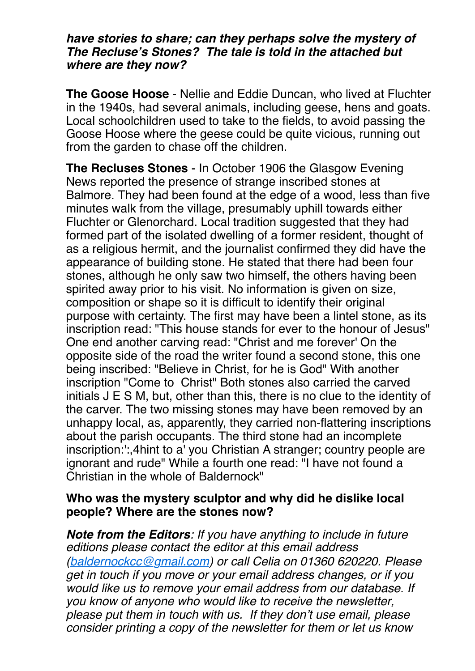#### *have stories to share; can they perhaps solve the mystery of The Recluse's Stones? The tale is told in the attached but where are they now?*

**The Goose Hoose** - Nellie and Eddie Duncan, who lived at Fluchter in the 1940s, had several animals, including geese, hens and goats. Local schoolchildren used to take to the fields, to avoid passing the Goose Hoose where the geese could be quite vicious, running out from the garden to chase off the children.

**The Recluses Stones** - In October 1906 the Glasgow Evening News reported the presence of strange inscribed stones at Balmore. They had been found at the edge of a wood, less than five minutes walk from the village, presumably uphill towards either Fluchter or Glenorchard. Local tradition suggested that they had formed part of the isolated dwelling of a former resident, thought of as a religious hermit, and the journalist confirmed they did have the appearance of building stone. He stated that there had been four stones, although he only saw two himself, the others having been spirited away prior to his visit. No information is given on size, composition or shape so it is difficult to identify their original purpose with certainty. The first may have been a lintel stone, as its inscription read: "This house stands for ever to the honour of Jesus" One end another carving read: "Christ and me forever' On the opposite side of the road the writer found a second stone, this one being inscribed: "Believe in Christ, for he is God" With another inscription "Come to Christ" Both stones also carried the carved initials J E S M, but, other than this, there is no clue to the identity of the carver. The two missing stones may have been removed by an unhappy local, as, apparently, they carried non-flattering inscriptions about the parish occupants. The third stone had an incomplete inscription:':,4hint to a' you Christian A stranger; country people are ignorant and rude" While a fourth one read: "I have not found a Christian in the whole of Baldernock"

### **Who was the mystery sculptor and why did he dislike local people? Where are the stones now?**

*Note from the Editors: If you have anything to include in future editions please contact the editor at this email address ([baldernockcc@gmail.com](mailto:baldernockcc@gmail.com)) or call Celia on 01360 620220. Please get in touch if you move or your email address changes, or if you would like us to remove your email address from our database. If you know of anyone who would like to receive the newsletter, please put them in touch with us. If they don't use email, please consider printing a copy of the newsletter for them or let us know*